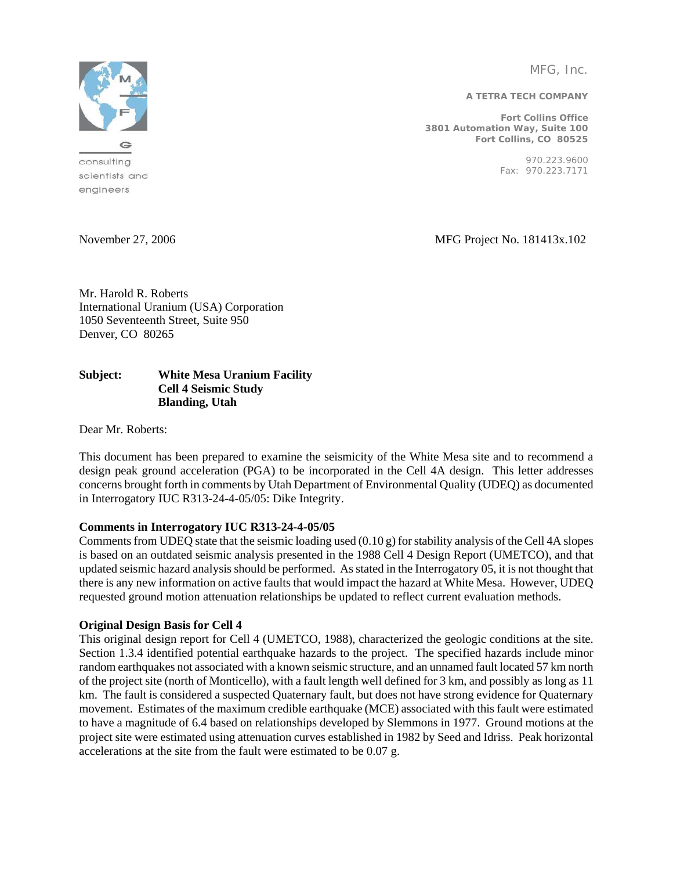MFG, Inc.

**A TETRA TECH COMPANY** 

**Fort Collins Office 3801 Automation Way, Suite 100 Fort Collins, CO 80525** 

> 970.223.9600 Fax: 970.223.7171



scientists and engineers

November 27, 2006 MFG Project No. 181413x.102

Mr. Harold R. Roberts International Uranium (USA) Corporation 1050 Seventeenth Street, Suite 950 Denver, CO 80265

## **Subject: White Mesa Uranium Facility Cell 4 Seismic Study Blanding, Utah**

Dear Mr. Roberts:

This document has been prepared to examine the seismicity of the White Mesa site and to recommend a design peak ground acceleration (PGA) to be incorporated in the Cell 4A design. This letter addresses concerns brought forth in comments by Utah Department of Environmental Quality (UDEQ) as documented in Interrogatory IUC R313-24-4-05/05: Dike Integrity.

# **Comments in Interrogatory IUC R313-24-4-05/05**

Comments from UDEQ state that the seismic loading used  $(0.10 \text{ g})$  for stability analysis of the Cell 4A slopes is based on an outdated seismic analysis presented in the 1988 Cell 4 Design Report (UMETCO), and that updated seismic hazard analysis should be performed. As stated in the Interrogatory 05, it is not thought that there is any new information on active faults that would impact the hazard at White Mesa. However, UDEQ requested ground motion attenuation relationships be updated to reflect current evaluation methods.

# **Original Design Basis for Cell 4**

This original design report for Cell 4 (UMETCO, 1988), characterized the geologic conditions at the site. Section 1.3.4 identified potential earthquake hazards to the project. The specified hazards include minor random earthquakes not associated with a known seismic structure, and an unnamed fault located 57 km north of the project site (north of Monticello), with a fault length well defined for 3 km, and possibly as long as 11 km. The fault is considered a suspected Quaternary fault, but does not have strong evidence for Quaternary movement. Estimates of the maximum credible earthquake (MCE) associated with this fault were estimated to have a magnitude of 6.4 based on relationships developed by Slemmons in 1977. Ground motions at the project site were estimated using attenuation curves established in 1982 by Seed and Idriss. Peak horizontal accelerations at the site from the fault were estimated to be 0.07 g.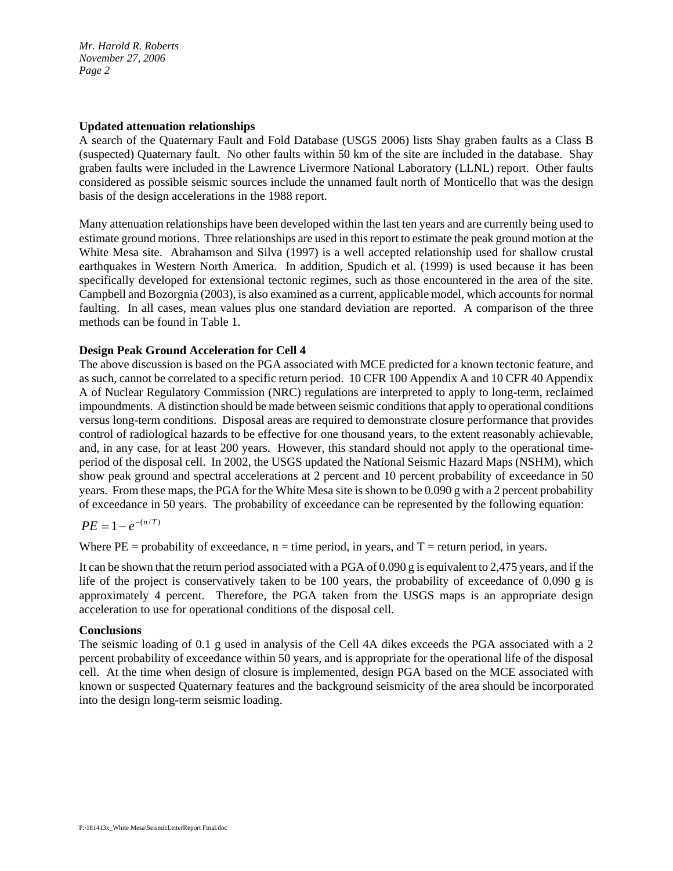*Mr. Harold R. Roberts November 27, 2006 Page 2*

### **Updated attenuation relationships**

A search of the Quaternary Fault and Fold Database (USGS 2006) lists Shay graben faults as a Class B (suspected) Quaternary fault. No other faults within 50 km of the site are included in the database. Shay graben faults were included in the Lawrence Livermore National Laboratory (LLNL) report. Other faults considered as possible seismic sources include the unnamed fault north of Monticello that was the design basis of the design accelerations in the 1988 report.

Many attenuation relationships have been developed within the last ten years and are currently being used to estimate ground motions. Three relationships are used in this report to estimate the peak ground motion at the White Mesa site. Abrahamson and Silva (1997) is a well accepted relationship used for shallow crustal earthquakes in Western North America. In addition, Spudich et al. (1999) is used because it has been specifically developed for extensional tectonic regimes, such as those encountered in the area of the site. Campbell and Bozorgnia (2003), is also examined as a current, applicable model, which accounts for normal faulting. In all cases, mean values plus one standard deviation are reported. A comparison of the three methods can be found in Table 1.

## **Design Peak Ground Acceleration for Cell 4**

The above discussion is based on the PGA associated with MCE predicted for a known tectonic feature, and as such, cannot be correlated to a specific return period. 10 CFR 100 Appendix A and 10 CFR 40 Appendix A of Nuclear Regulatory Commission (NRC) regulations are interpreted to apply to long-term, reclaimed impoundments. A distinction should be made between seismic conditions that apply to operational conditions versus long-term conditions. Disposal areas are required to demonstrate closure performance that provides control of radiological hazards to be effective for one thousand years, to the extent reasonably achievable, and, in any case, for at least 200 years. However, this standard should not apply to the operational timeperiod of the disposal cell. In 2002, the USGS updated the National Seismic Hazard Maps (NSHM), which show peak ground and spectral accelerations at 2 percent and 10 percent probability of exceedance in 50 years. From these maps, the PGA for the White Mesa site is shown to be 0.090 g with a 2 percent probability of exceedance in 50 years. The probability of exceedance can be represented by the following equation:

$$
PE=1-e^{-(n/T)}
$$

Where  $PE = probability$  of exceedance,  $n = time$  period, in years, and  $T = return$  period, in years.

It can be shown that the return period associated with a PGA of 0.090 g is equivalent to 2,475 years, and if the life of the project is conservatively taken to be 100 years, the probability of exceedance of 0.090 g is approximately 4 percent. Therefore, the PGA taken from the USGS maps is an appropriate design acceleration to use for operational conditions of the disposal cell.

#### **Conclusions**

The seismic loading of 0.1 g used in analysis of the Cell 4A dikes exceeds the PGA associated with a 2 percent probability of exceedance within 50 years, and is appropriate for the operational life of the disposal cell. At the time when design of closure is implemented, design PGA based on the MCE associated with known or suspected Quaternary features and the background seismicity of the area should be incorporated into the design long-term seismic loading.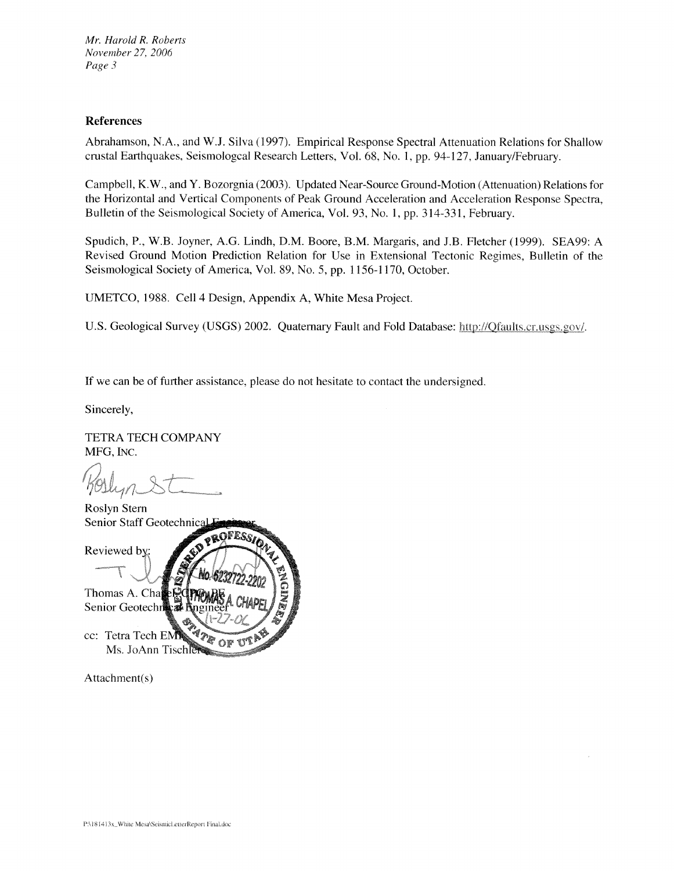Mr. Harold R. Roberts November 27, 2006 Page 3

### **References**

Abrahamson, N.A., and W.J. Silva (1997). Empirical Response Spectral Attenuation Relations for Shallow crustal Earthquakes, Seismologcal Research Letters, Vol. 68, No. 1, pp. 94-127, January/February.

Campbell, K.W., and Y. Bozorgnia (2003). Updated Near-Source Ground-Motion (Attenuation) Relations for the Horizontal and Vertical Components of Peak Ground Acceleration and Acceleration Response Spectra, Bulletin of the Seismological Society of America, Vol. 93, No. 1, pp. 314-331, February.

Spudich, P., W.B. Joyner, A.G. Lindh, D.M. Boore, B.M. Margaris, and J.B. Fletcher (1999). SEA99: A Revised Ground Motion Prediction Relation for Use in Extensional Tectonic Regimes, Bulletin of the Seismological Society of America, Vol. 89, No. 5, pp. 1156-1170, October.

UMETCO, 1988. Cell 4 Design, Appendix A, White Mesa Project.

U.S. Geological Survey (USGS) 2002. Quaternary Fault and Fold Database: http://Qfaults.cr.usgs.gov/.

If we can be of further assistance, please do not hesitate to contact the undersigned.

Sincerely,

**TETRA TECH COMPANY** MFG, INC.



Attachment(s)